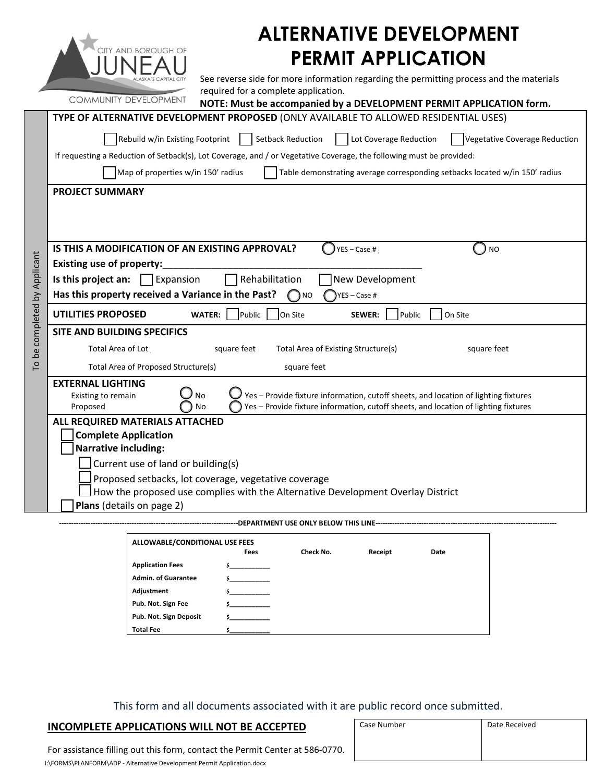| <b>ALTERNATIVE DEVELOPMENT</b>                         |                                                                                                                                             |  |  |  |  |  |
|--------------------------------------------------------|---------------------------------------------------------------------------------------------------------------------------------------------|--|--|--|--|--|
| <b>ITY AND BOROUGH OF</b><br><b>PERMIT APPLICATION</b> |                                                                                                                                             |  |  |  |  |  |
|                                                        | See reverse side for more information regarding the permitting process and the materials                                                    |  |  |  |  |  |
|                                                        | required for a complete application.<br><b>COMMUNITY DEVELOPMENT</b><br>NOTE: Must be accompanied by a DEVELOPMENT PERMIT APPLICATION form. |  |  |  |  |  |
|                                                        | TYPE OF ALTERNATIVE DEVELOPMENT PROPOSED (ONLY AVAILABLE TO ALLOWED RESIDENTIAL USES)                                                       |  |  |  |  |  |
|                                                        | Rebuild w/in Existing Footprint<br><b>Setback Reduction</b><br>Lot Coverage Reduction<br>Vegetative Coverage Reduction                      |  |  |  |  |  |
|                                                        | If requesting a Reduction of Setback(s), Lot Coverage, and / or Vegetative Coverage, the following must be provided:                        |  |  |  |  |  |
|                                                        | Map of properties w/in 150' radius<br>Table demonstrating average corresponding setbacks located w/in 150' radius                           |  |  |  |  |  |
|                                                        | <b>PROJECT SUMMARY</b>                                                                                                                      |  |  |  |  |  |
|                                                        |                                                                                                                                             |  |  |  |  |  |
|                                                        |                                                                                                                                             |  |  |  |  |  |
|                                                        | IS THIS A MODIFICATION OF AN EXISTING APPROVAL?<br>YES - Case #<br><b>NO</b>                                                                |  |  |  |  |  |
|                                                        | Existing use of property:                                                                                                                   |  |  |  |  |  |
|                                                        | Rehabilitation<br>Is this project an: $\Box$ Expansion<br>New Development                                                                   |  |  |  |  |  |
|                                                        | Has this property received a Variance in the Past?<br>YES - Case #<br>() NO                                                                 |  |  |  |  |  |
| To be completed by Applicant                           | <b>UTILITIES PROPOSED</b><br>On Site<br><b>WATER:</b><br>Public<br><b>SEWER:</b><br>Public<br>On Site                                       |  |  |  |  |  |
|                                                        | SITE AND BUILDING SPECIFICS                                                                                                                 |  |  |  |  |  |
|                                                        | <b>Total Area of Lot</b><br>square feet<br>Total Area of Existing Structure(s)<br>square feet                                               |  |  |  |  |  |
|                                                        | Total Area of Proposed Structure(s)<br>square feet                                                                                          |  |  |  |  |  |
|                                                        | <b>EXTERNAL LIGHTING</b><br>Yes - Provide fixture information, cutoff sheets, and location of lighting fixtures<br><b>No</b>                |  |  |  |  |  |
|                                                        | <b>Existing to remain</b><br><b>No</b><br>Yes - Provide fixture information, cutoff sheets, and location of lighting fixtures<br>Proposed   |  |  |  |  |  |
|                                                        | ALL REQUIRED MATERIALS ATTACHED                                                                                                             |  |  |  |  |  |
|                                                        | <b>Complete Application</b><br><b>Narrative including:</b>                                                                                  |  |  |  |  |  |
|                                                        | Current use of land or building(s)                                                                                                          |  |  |  |  |  |
|                                                        | Proposed setbacks, lot coverage, vegetative coverage                                                                                        |  |  |  |  |  |
|                                                        | How the proposed use complies with the Alternative Development Overlay District                                                             |  |  |  |  |  |
|                                                        | Plans (details on page 2)                                                                                                                   |  |  |  |  |  |
| DEPARTMENT USE ONLY BELOW THIS LINE-                   |                                                                                                                                             |  |  |  |  |  |
|                                                        |                                                                                                                                             |  |  |  |  |  |

| ALLOWABLE/CONDITIONAL USE FEES |      |           |         |      |  |  |
|--------------------------------|------|-----------|---------|------|--|--|
|                                | Fees | Check No. | Receipt | Date |  |  |
| <b>Application Fees</b>        |      |           |         |      |  |  |
| <b>Admin. of Guarantee</b>     |      |           |         |      |  |  |
| Adjustment                     |      |           |         |      |  |  |
| Pub. Not. Sign Fee             |      |           |         |      |  |  |
| Pub. Not. Sign Deposit         |      |           |         |      |  |  |
| <b>Total Fee</b>               |      |           |         |      |  |  |

This form and all documents associated with it are public record once submitted.

## **INCOMPLETE APPLICATIONS WILL NOT BE ACCEPTED**

|    | Case Number | Date Received |  |  |
|----|-------------|---------------|--|--|
|    |             |               |  |  |
|    |             |               |  |  |
| J. |             |               |  |  |
|    |             |               |  |  |

For assistance filling out this form, contact the Permit Center at 586‐0770. I:\FORMS\PLANFORM\ADP ‐ Alternative Development Permit Application.docx